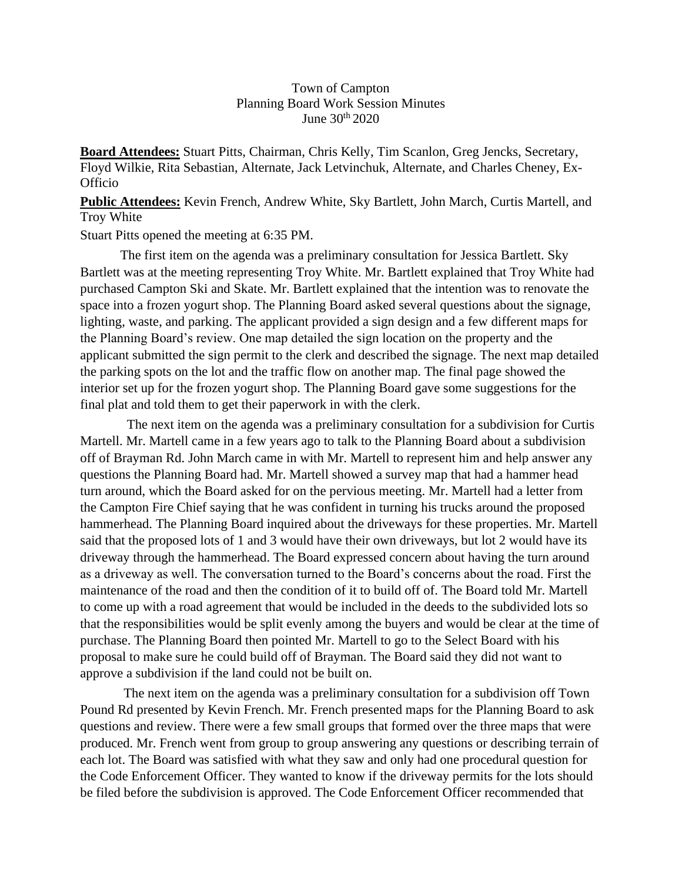## Town of Campton Planning Board Work Session Minutes June 30<sup>th</sup> 2020

**Board Attendees:** Stuart Pitts, Chairman, Chris Kelly, Tim Scanlon, Greg Jencks, Secretary, Floyd Wilkie, Rita Sebastian, Alternate, Jack Letvinchuk, Alternate, and Charles Cheney, Ex-**Officio** 

**Public Attendees:** Kevin French, Andrew White, Sky Bartlett, John March, Curtis Martell, and Troy White

Stuart Pitts opened the meeting at 6:35 PM.

The first item on the agenda was a preliminary consultation for Jessica Bartlett. Sky Bartlett was at the meeting representing Troy White. Mr. Bartlett explained that Troy White had purchased Campton Ski and Skate. Mr. Bartlett explained that the intention was to renovate the space into a frozen yogurt shop. The Planning Board asked several questions about the signage, lighting, waste, and parking. The applicant provided a sign design and a few different maps for the Planning Board's review. One map detailed the sign location on the property and the applicant submitted the sign permit to the clerk and described the signage. The next map detailed the parking spots on the lot and the traffic flow on another map. The final page showed the interior set up for the frozen yogurt shop. The Planning Board gave some suggestions for the final plat and told them to get their paperwork in with the clerk.

 The next item on the agenda was a preliminary consultation for a subdivision for Curtis Martell. Mr. Martell came in a few years ago to talk to the Planning Board about a subdivision off of Brayman Rd. John March came in with Mr. Martell to represent him and help answer any questions the Planning Board had. Mr. Martell showed a survey map that had a hammer head turn around, which the Board asked for on the pervious meeting. Mr. Martell had a letter from the Campton Fire Chief saying that he was confident in turning his trucks around the proposed hammerhead. The Planning Board inquired about the driveways for these properties. Mr. Martell said that the proposed lots of 1 and 3 would have their own driveways, but lot 2 would have its driveway through the hammerhead. The Board expressed concern about having the turn around as a driveway as well. The conversation turned to the Board's concerns about the road. First the maintenance of the road and then the condition of it to build off of. The Board told Mr. Martell to come up with a road agreement that would be included in the deeds to the subdivided lots so that the responsibilities would be split evenly among the buyers and would be clear at the time of purchase. The Planning Board then pointed Mr. Martell to go to the Select Board with his proposal to make sure he could build off of Brayman. The Board said they did not want to approve a subdivision if the land could not be built on.

The next item on the agenda was a preliminary consultation for a subdivision off Town Pound Rd presented by Kevin French. Mr. French presented maps for the Planning Board to ask questions and review. There were a few small groups that formed over the three maps that were produced. Mr. French went from group to group answering any questions or describing terrain of each lot. The Board was satisfied with what they saw and only had one procedural question for the Code Enforcement Officer. They wanted to know if the driveway permits for the lots should be filed before the subdivision is approved. The Code Enforcement Officer recommended that